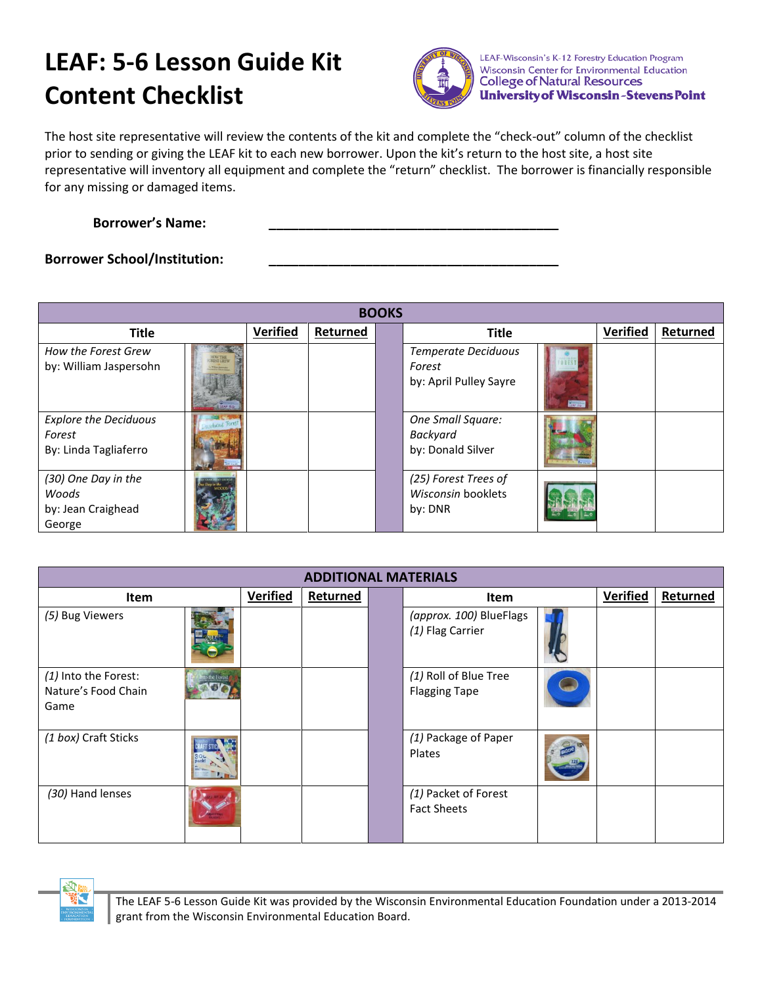## **LEAF: 5-6 Lesson Guide Kit Content Checklist**



LEAF-Wisconsin's K-12 Forestry Education Program Wisconsin Center for Environmental Education **College of Natural Resources University of Wisconsin-Stevens Point** 

The host site representative will review the contents of the kit and complete the "check-out" column of the checklist prior to sending or giving the LEAF kit to each new borrower. Upon the kit's return to the host site, a host site representative will inventory all equipment and complete the "return" checklist. The borrower is financially responsible for any missing or damaged items.

**Borrower's Name: \_\_\_\_\_\_\_\_\_\_\_\_\_\_\_\_\_\_\_\_\_\_\_\_\_\_\_\_\_\_\_\_\_\_\_\_\_\_\_**

## **Borrower School/Institution:**

| <b>BOOKS</b>                                                    |                            |          |          |  |                                                                |               |                 |          |
|-----------------------------------------------------------------|----------------------------|----------|----------|--|----------------------------------------------------------------|---------------|-----------------|----------|
| <b>Title</b>                                                    |                            | Verified | Returned |  | <b>Title</b>                                                   |               | <b>Verified</b> | Returned |
| How the Forest Grew<br>by: William Jaspersohn                   | HOW THE<br><b>The land</b> |          |          |  | <b>Temperate Deciduous</b><br>Forest<br>by: April Pulley Sayre | <b>PAY SU</b> |                 |          |
| <b>Explore the Deciduous</b><br>Forest<br>By: Linda Tagliaferro |                            |          |          |  | One Small Square:<br>Backyard<br>by: Donald Silver             |               |                 |          |
| (30) One Day in the<br>Woods<br>by: Jean Craighead<br>George    |                            |          |          |  | (25) Forest Trees of<br>Wisconsin booklets<br>by: DNR          |               |                 |          |

| <b>ADDITIONAL MATERIALS</b>                         |                 |                 |          |  |                                               |  |                 |          |
|-----------------------------------------------------|-----------------|-----------------|----------|--|-----------------------------------------------|--|-----------------|----------|
| Item                                                |                 | <b>Verified</b> | Returned |  | Item                                          |  | <b>Verified</b> | Returned |
| (5) Bug Viewers                                     |                 |                 |          |  | (approx. 100) BlueFlags<br>(1) Flag Carrier   |  |                 |          |
| (1) Into the Forest:<br>Nature's Food Chain<br>Game | <b>W Fon's</b>  |                 |          |  | (1) Roll of Blue Tree<br><b>Flagging Tape</b> |  |                 |          |
| (1 box) Craft Sticks                                | 30 <sub>L</sub> |                 |          |  | (1) Package of Paper<br>Plates                |  |                 |          |
| (30) Hand lenses                                    |                 |                 |          |  | (1) Packet of Forest<br><b>Fact Sheets</b>    |  |                 |          |



The LEAF 5-6 Lesson Guide Kit was provided by the Wisconsin Environmental Education Foundation under a 2013-2014 grant from the Wisconsin Environmental Education Board.